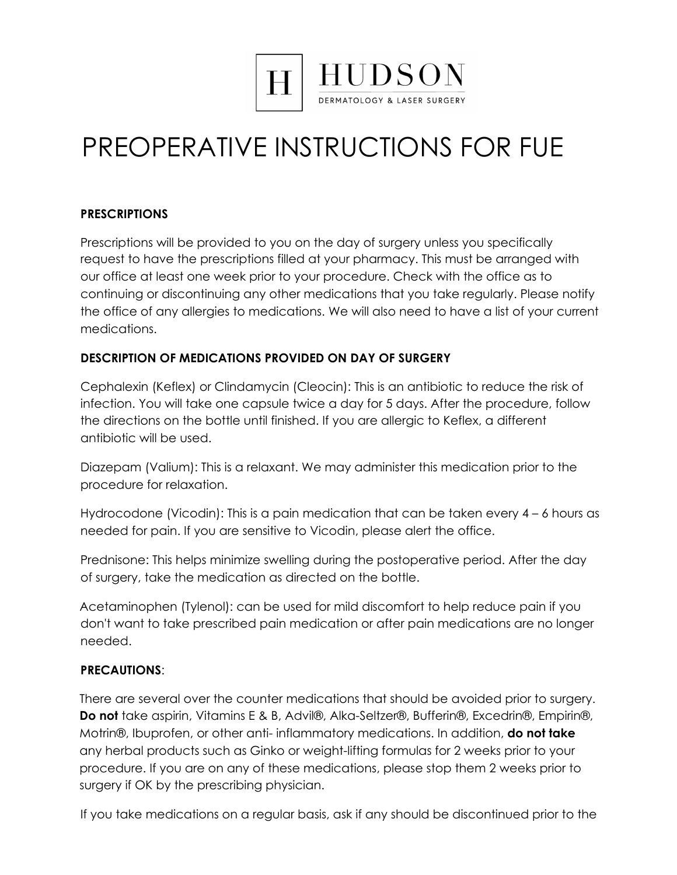

# PREOPERATIVE INSTRUCTIONS FOR FUE

# **PRESCRIPTIONS**

Prescriptions will be provided to you on the day of surgery unless you specifically request to have the prescriptions filled at your pharmacy. This must be arranged with our office at least one week prior to your procedure. Check with the office as to continuing or discontinuing any other medications that you take regularly. Please notify the office of any allergies to medications. We will also need to have a list of your current medications.

# **DESCRIPTION OF MEDICATIONS PROVIDED ON DAY OF SURGERY**

Cephalexin (Keflex) or Clindamycin (Cleocin): This is an antibiotic to reduce the risk of infection. You will take one capsule twice a day for 5 days. After the procedure, follow the directions on the bottle until finished. If you are allergic to Keflex, a different antibiotic will be used.

Diazepam (Valium): This is a relaxant. We may administer this medication prior to the procedure for relaxation.

Hydrocodone (Vicodin): This is a pain medication that can be taken every 4 – 6 hours as needed for pain. If you are sensitive to Vicodin, please alert the office.

Prednisone: This helps minimize swelling during the postoperative period. After the day of surgery, take the medication as directed on the bottle.

Acetaminophen (Tylenol): can be used for mild discomfort to help reduce pain if you don't want to take prescribed pain medication or after pain medications are no longer needed.

# **PRECAUTIONS**:

There are several over the counter medications that should be avoided prior to surgery. **Do not** take aspirin, Vitamins E & B, Advil®, Alka-Seltzer®, Bufferin®, Excedrin®, Empirin®, Motrin®, Ibuprofen, or other anti- inflammatory medications. In addition, **do not take** any herbal products such as Ginko or weight-lifting formulas for 2 weeks prior to your procedure. If you are on any of these medications, please stop them 2 weeks prior to surgery if OK by the prescribing physician.

If you take medications on a regular basis, ask if any should be discontinued prior to the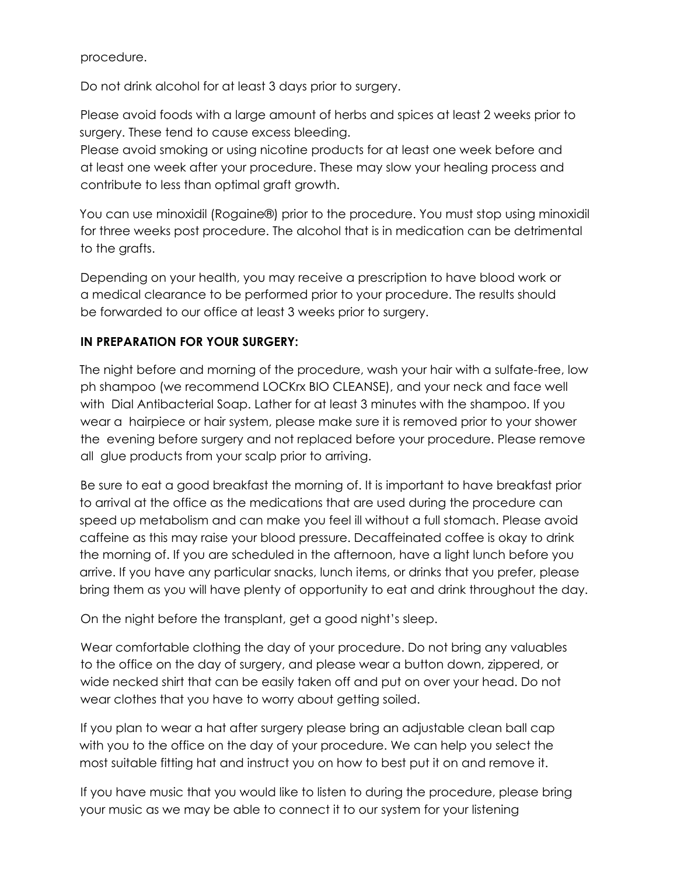procedure.

Do not drink alcohol for at least 3 days prior to surgery.

Please avoid foods with a large amount of herbs and spices at least 2 weeks prior to surgery. These tend to cause excess bleeding.

Please avoid smoking or using nicotine products for at least one week before and at least one week after your procedure. These may slow your healing process and contribute to less than optimal graft growth.

You can use minoxidil (Rogaine®) prior to the procedure. You must stop using minoxidil for three weeks post procedure. The alcohol that is in medication can be detrimental to the grafts.

Depending on your health, you may receive a prescription to have blood work or a medical clearance to be performed prior to your procedure. The results should be forwarded to our office at least 3 weeks prior to surgery.

#### **IN PREPARATION FOR YOUR SURGERY:**

The night before and morning of the procedure, wash your hair with a sulfate-free, low ph shampoo (we recommend LOCKrx BIO CLEANSE), and your neck and face well with Dial Antibacterial Soap. Lather for at least 3 minutes with the shampoo. If you wear a hairpiece or hair system, please make sure it is removed prior to your shower the evening before surgery and not replaced before your procedure. Please remove all glue products from your scalp prior to arriving.

Be sure to eat a good breakfast the morning of. It is important to have breakfast prior to arrival at the office as the medications that are used during the procedure can speed up metabolism and can make you feel ill without a full stomach. Please avoid caffeine as this may raise your blood pressure. Decaffeinated coffee is okay to drink the morning of. If you are scheduled in the afternoon, have a light lunch before you arrive. If you have any particular snacks, lunch items, or drinks that you prefer, please bring them as you will have plenty of opportunity to eat and drink throughout the day.

On the night before the transplant, get a good night's sleep.

Wear comfortable clothing the day of your procedure. Do not bring any valuables to the office on the day of surgery, and please wear a button down, zippered, or wide necked shirt that can be easily taken off and put on over your head. Do not wear clothes that you have to worry about getting soiled.

If you plan to wear a hat after surgery please bring an adjustable clean ball cap with you to the office on the day of your procedure. We can help you select the most suitable fitting hat and instruct you on how to best put it on and remove it.

If you have music that you would like to listen to during the procedure, please bring your music as we may be able to connect it to our system for your listening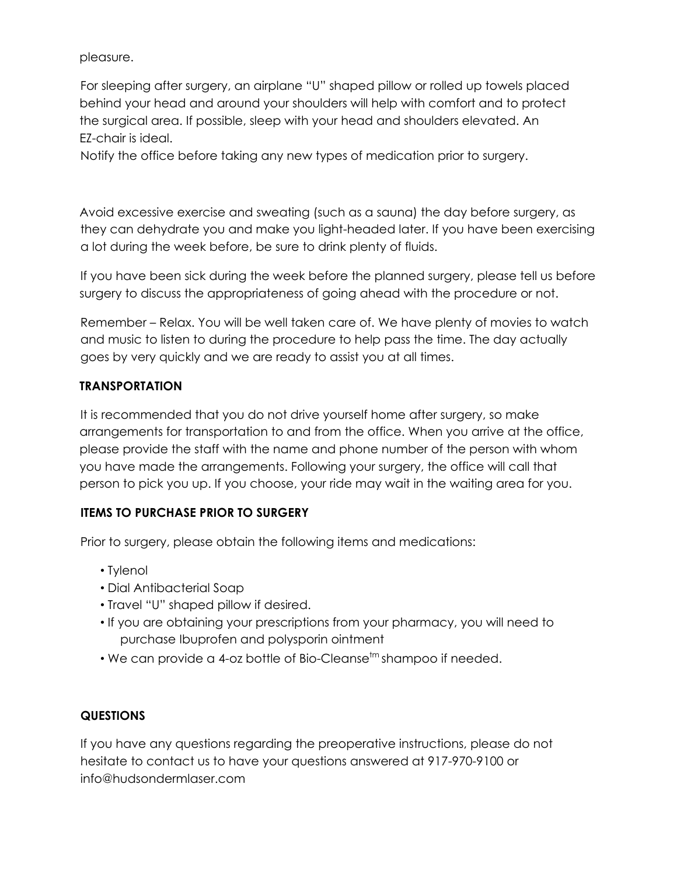pleasure.

For sleeping after surgery, an airplane "U" shaped pillow or rolled up towels placed behind your head and around your shoulders will help with comfort and to protect the surgical area. If possible, sleep with your head and shoulders elevated. An EZ-chair is ideal.

Notify the office before taking any new types of medication prior to surgery.

Avoid excessive exercise and sweating (such as a sauna) the day before surgery, as they can dehydrate you and make you light-headed later. If you have been exercising a lot during the week before, be sure to drink plenty of fluids.

If you have been sick during the week before the planned surgery, please tell us before surgery to discuss the appropriateness of going ahead with the procedure or not.

Remember – Relax. You will be well taken care of. We have plenty of movies to watch and music to listen to during the procedure to help pass the time. The day actually goes by very quickly and we are ready to assist you at all times.

# **TRANSPORTATION**

It is recommended that you do not drive yourself home after surgery, so make arrangements for transportation to and from the office. When you arrive at the office, please provide the staff with the name and phone number of the person with whom you have made the arrangements. Following your surgery, the office will call that person to pick you up. If you choose, your ride may wait in the waiting area for you.

# **ITEMS TO PURCHASE PRIOR TO SURGERY**

Prior to surgery, please obtain the following items and medications:

- Tylenol
- Dial Antibacterial Soap
- Travel "U" shaped pillow if desired.
- If you are obtaining your prescriptions from your pharmacy, you will need to purchase Ibuprofen and polysporin ointment
- $\bullet$  We can provide a 4-oz bottle of Bio-Cleanse $^{\mathsf{tm}}$ shampoo if needed.

# **QUESTIONS**

If you have any questions regarding the preoperative instructions, please do not hesitate to contact us to have your questions answered at 917-970-9100 or info@hudsondermlaser.com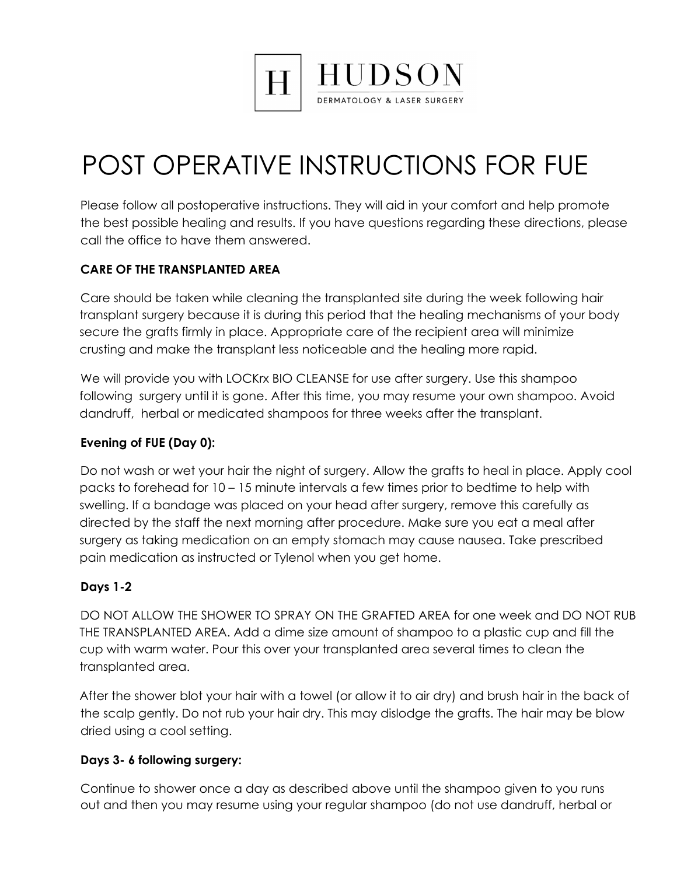

# POST OPERATIVE INSTRUCTIONS FOR FUE

Please follow all postoperative instructions. They will aid in your comfort and help promote the best possible healing and results. If you have questions regarding these directions, please call the office to have them answered.

# **CARE OF THE TRANSPLANTED AREA**

Care should be taken while cleaning the transplanted site during the week following hair transplant surgery because it is during this period that the healing mechanisms of your body secure the grafts firmly in place. Appropriate care of the recipient area will minimize crusting and make the transplant less noticeable and the healing more rapid.

We will provide you with LOCK<sub>N</sub> BIO CLEANSE for use after surgery. Use this shampoo following surgery until it is gone. After this time, you may resume your own shampoo. Avoid dandruff, herbal or medicated shampoos for three weeks after the transplant.

# **Evening of FUE (Day 0):**

Do not wash or wet your hair the night of surgery. Allow the grafts to heal in place. Apply cool packs to forehead for 10 – 15 minute intervals a few times prior to bedtime to help with swelling. If a bandage was placed on your head after surgery, remove this carefully as directed by the staff the next morning after procedure. Make sure you eat a meal after surgery as taking medication on an empty stomach may cause nausea. Take prescribed pain medication as instructed or Tylenol when you get home.

# **Days 1-2**

DO NOT ALLOW THE SHOWER TO SPRAY ON THE GRAFTED AREA for one week and DO NOT RUB THE TRANSPLANTED AREA. Add a dime size amount of shampoo to a plastic cup and fill the cup with warm water. Pour this over your transplanted area several times to clean the transplanted area.

After the shower blot your hair with a towel (or allow it to air dry) and brush hair in the back of the scalp gently. Do not rub your hair dry. This may dislodge the grafts. The hair may be blow dried using a cool setting.

# **Days 3- 6 following surgery:**

Continue to shower once a day as described above until the shampoo given to you runs out and then you may resume using your regular shampoo (do not use dandruff, herbal or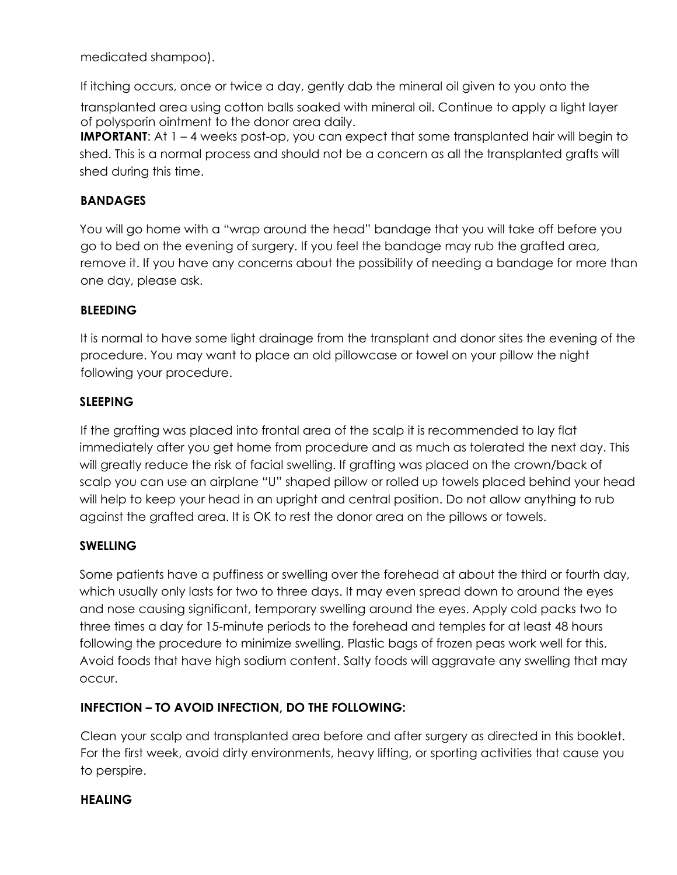medicated shampoo).

If itching occurs, once or twice a day, gently dab the mineral oil given to you onto the

transplanted area using cotton balls soaked with mineral oil. Continue to apply a light layer of polysporin ointment to the donor area daily.

**IMPORTANT:** At 1 – 4 weeks post-op, you can expect that some transplanted hair will begin to shed. This is a normal process and should not be a concern as all the transplanted grafts will shed during this time.

#### **BANDAGES**

You will go home with a "wrap around the head" bandage that you will take off before you go to bed on the evening of surgery. If you feel the bandage may rub the grafted area, remove it. If you have any concerns about the possibility of needing a bandage for more than one day, please ask.

#### **BLEEDING**

It is normal to have some light drainage from the transplant and donor sites the evening of the procedure. You may want to place an old pillowcase or towel on your pillow the night following your procedure.

#### **SLEEPING**

If the grafting was placed into frontal area of the scalp it is recommended to lay flat immediately after you get home from procedure and as much as tolerated the next day. This will greatly reduce the risk of facial swelling. If grafting was placed on the crown/back of scalp you can use an airplane "U" shaped pillow or rolled up towels placed behind your head will help to keep your head in an upright and central position. Do not allow anything to rub against the grafted area. It is OK to rest the donor area on the pillows or towels.

# **SWELLING**

Some patients have a puffiness or swelling over the forehead at about the third or fourth day, which usually only lasts for two to three days. It may even spread down to around the eyes and nose causing significant, temporary swelling around the eyes. Apply cold packs two to three times a day for 15-minute periods to the forehead and temples for at least 48 hours following the procedure to minimize swelling. Plastic bags of frozen peas work well for this. Avoid foods that have high sodium content. Salty foods will aggravate any swelling that may occur.

# **INFECTION – TO AVOID INFECTION, DO THE FOLLOWING:**

Clean your scalp and transplanted area before and after surgery as directed in this booklet. For the first week, avoid dirty environments, heavy lifting, or sporting activities that cause you to perspire.

#### **HEALING**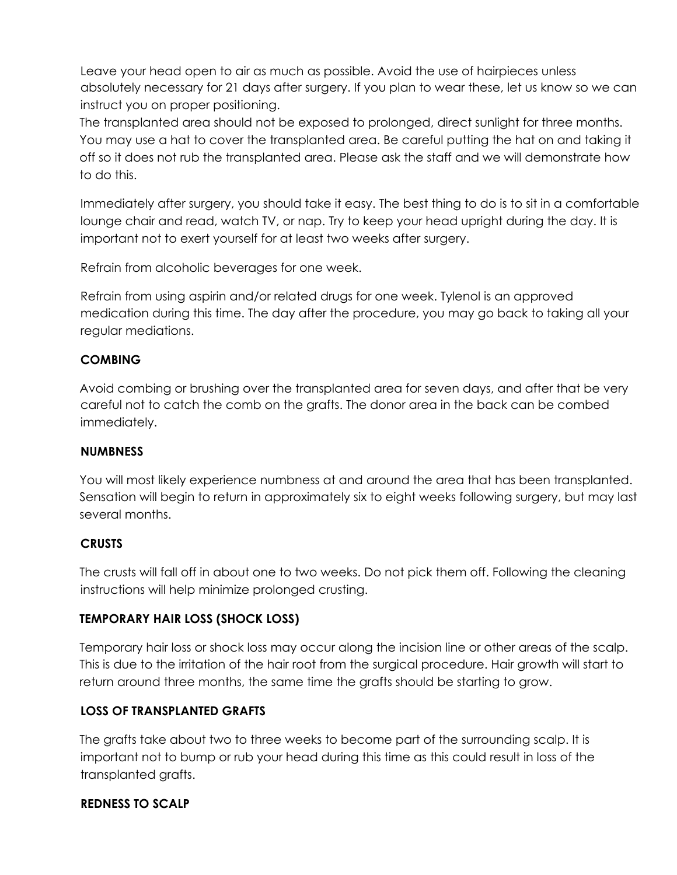Leave your head open to air as much as possible. Avoid the use of hairpieces unless absolutely necessary for 21 days after surgery. If you plan to wear these, let us know so we can instruct you on proper positioning.

The transplanted area should not be exposed to prolonged, direct sunlight for three months. You may use a hat to cover the transplanted area. Be careful putting the hat on and taking it off so it does not rub the transplanted area. Please ask the staff and we will demonstrate how to do this.

Immediately after surgery, you should take it easy. The best thing to do is to sit in a comfortable lounge chair and read, watch TV, or nap. Try to keep your head upright during the day. It is important not to exert yourself for at least two weeks after surgery.

Refrain from alcoholic beverages for one week.

Refrain from using aspirin and/or related drugs for one week. Tylenol is an approved medication during this time. The day after the procedure, you may go back to taking all your regular mediations.

#### **COMBING**

Avoid combing or brushing over the transplanted area for seven days, and after that be very careful not to catch the comb on the grafts. The donor area in the back can be combed immediately.

#### **NUMBNESS**

You will most likely experience numbness at and around the area that has been transplanted. Sensation will begin to return in approximately six to eight weeks following surgery, but may last several months.

#### **CRUSTS**

The crusts will fall off in about one to two weeks. Do not pick them off. Following the cleaning instructions will help minimize prolonged crusting.

# **TEMPORARY HAIR LOSS (SHOCK LOSS)**

Temporary hair loss or shock loss may occur along the incision line or other areas of the scalp. This is due to the irritation of the hair root from the surgical procedure. Hair growth will start to return around three months, the same time the grafts should be starting to grow.

# **LOSS OF TRANSPLANTED GRAFTS**

The grafts take about two to three weeks to become part of the surrounding scalp. It is important not to bump or rub your head during this time as this could result in loss of the transplanted grafts.

#### **REDNESS TO SCALP**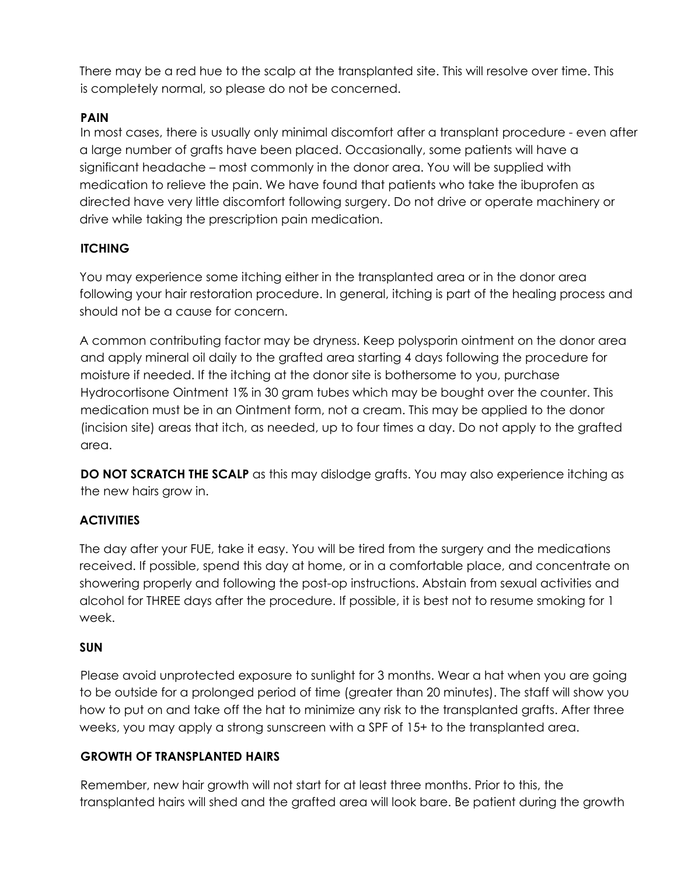There may be a red hue to the scalp at the transplanted site. This will resolve over time. This is completely normal, so please do not be concerned.

#### **PAIN**

In most cases, there is usually only minimal discomfort after a transplant procedure - even after a large number of grafts have been placed. Occasionally, some patients will have a significant headache – most commonly in the donor area. You will be supplied with medication to relieve the pain. We have found that patients who take the ibuprofen as directed have very little discomfort following surgery. Do not drive or operate machinery or drive while taking the prescription pain medication.

#### **ITCHING**

You may experience some itching either in the transplanted area or in the donor area following your hair restoration procedure. In general, itching is part of the healing process and should not be a cause for concern.

A common contributing factor may be dryness. Keep polysporin ointment on the donor area and apply mineral oil daily to the grafted area starting 4 days following the procedure for moisture if needed. If the itching at the donor site is bothersome to you, purchase Hydrocortisone Ointment 1% in 30 gram tubes which may be bought over the counter. This medication must be in an Ointment form, not a cream. This may be applied to the donor (incision site) areas that itch, as needed, up to four times a day. Do not apply to the grafted area.

**DO NOT SCRATCH THE SCALP** as this may dislodge grafts. You may also experience itching as the new hairs grow in.

#### **ACTIVITIES**

The day after your FUE, take it easy. You will be tired from the surgery and the medications received. If possible, spend this day at home, or in a comfortable place, and concentrate on showering properly and following the post-op instructions. Abstain from sexual activities and alcohol for THREE days after the procedure. If possible, it is best not to resume smoking for 1 week.

#### **SUN**

Please avoid unprotected exposure to sunlight for 3 months. Wear a hat when you are going to be outside for a prolonged period of time (greater than 20 minutes). The staff will show you how to put on and take off the hat to minimize any risk to the transplanted grafts. After three weeks, you may apply a strong sunscreen with a SPF of 15+ to the transplanted area.

#### **GROWTH OF TRANSPLANTED HAIRS**

Remember, new hair growth will not start for at least three months. Prior to this, the transplanted hairs will shed and the grafted area will look bare. Be patient during the growth